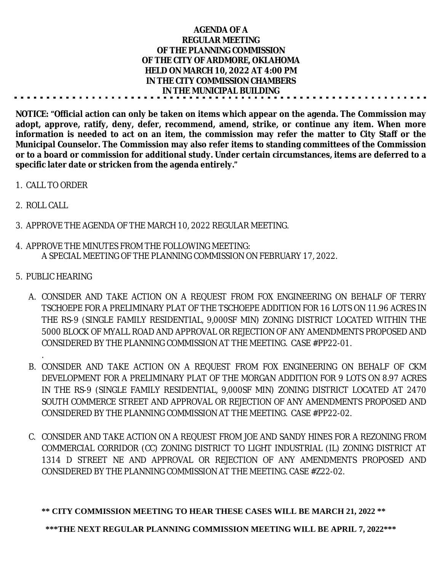| <b>AGENDA OF A</b>                       |  |
|------------------------------------------|--|
| <b>REGULAR MEETING</b>                   |  |
| OF THE PLANNING COMMISSION               |  |
| OF THE CITY OF ARDMORE, OKLAHOMA         |  |
| <b>HELD ON MARCH 10, 2022 AT 4:00 PM</b> |  |
| IN THE CITY COMMISSION CHAMBERS          |  |
| IN THE MUNICIPAL BUILDING                |  |
|                                          |  |

**NOTICE: "Official action can only be taken on items which appear on the agenda. The Commission may adopt, approve, ratify, deny, defer, recommend, amend, strike, or continue any item. When more** information is needed to act on an item, the commission may refer the matter to City Staff or the **Municipal Counselor. The Commission may also refer items to standing committees of the Commission or to a board or commission for additional study. Under certain circumstances, items are deferred to a specific later date or stricken from the agenda entirely."**

- 1. CALL TO ORDER
- 2. ROLL CALL
- 3. APPROVE THE AGENDA OF THE MARCH 10, 2022 REGULAR MEETING.
- 4. APPROVE THE MINUTES FROM THE FOLLOWING MEETING: A SPECIAL MEETING OF THE PLANNING COMMISSION ON FEBRUARY 17, 2022.
- 5. PUBLIC HEARING

.

- A. CONSIDER AND TAKE ACTION ON A REQUEST FROM FOX ENGINEERING ON BEHALF OF TERRY TSCHOEPE FOR A PRELIMINARY PLAT OF THE TSCHOEPE ADDITION FOR 16 LOTS ON 11.96 ACRES IN THE RS-9 (SINGLE FAMILY RESIDENTIAL, 9,000SF MIN) ZONING DISTRICT LOCATED WITHIN THE 5000 BLOCK OF MYALL ROAD AND APPROVAL OR REJECTION OF ANY AMENDMENTS PROPOSED AND CONSIDERED BY THE PLANNING COMMISSION AT THE MEETING. CASE #PP22-01.
- B. CONSIDER AND TAKE ACTION ON A REQUEST FROM FOX ENGINEERING ON BEHALF OF CKM DEVELOPMENT FOR A PRELIMINARY PLAT OF THE MORGAN ADDITION FOR 9 LOTS ON 8.97 ACRES IN THE RS-9 (SINGLE FAMILY RESIDENTIAL, 9,000SF MIN) ZONING DISTRICT LOCATED AT 2470 SOUTH COMMERCE STREET AND APPROVAL OR REJECTION OF ANY AMENDMENTS PROPOSED AND CONSIDERED BY THE PLANNING COMMISSION AT THE MEETING. CASE #PP22-02.
- C. CONSIDER AND TAKE ACTION ON A REQUEST FROM JOE AND SANDY HINES FOR A REZONING FROM COMMERCIAL CORRIDOR (CC) ZONING DISTRICT TO LIGHT INDUSTRIAL (IL) ZONING DISTRICT AT 1314 D STREET NE AND APPROVAL OR REJECTION OF ANY AMENDMENTS PROPOSED AND CONSIDERED BY THE PLANNING COMMISSION AT THE MEETING. CASE #Z22-02.

## **\*\* CITY COMMISSION MEETING TO HEAR THESE CASES WILL BE MARCH 21, 2022 \*\***

**\*\*\*THE NEXT REGULAR PLANNING COMMISSION MEETING WILL BE APRIL 7, 2022\*\*\***